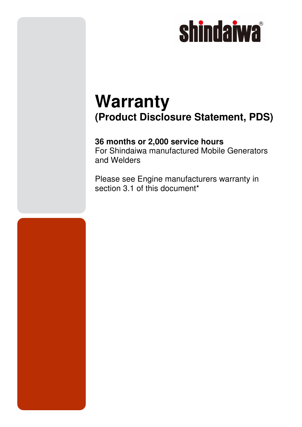# **shindaiwa**

### **Warranty (Product Disclosure Statement, PDS)**

### **36 months or 2,000 service hours**

For Shindaiwa manufactured Mobile Generators and Welders

Please see Engine manufacturers warranty in section 3.1 of this document<sup>\*</sup>

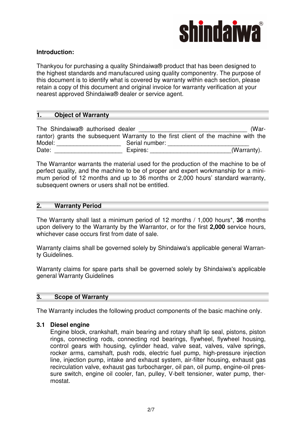

#### **Introduction:**

Thankyou for purchasing a quality Shindaiwa® product that has been designed to the highest standards and manufacured using quality componentry. The purpose of this document is to identify what is covered by warranty within each section, please retain a copy of this document and original invoice for warranty verification at your nearest approved Shindaiwa® dealer or service agent.

#### **1. Object of Warranty**

The Shindaiwa® authorised dealer **the Shindaiwa®** authorised dealer rantor) grants the subsequent Warranty to the first client of the machine with the Model: \_\_\_\_\_\_\_\_\_\_\_\_\_\_\_\_\_\_\_ Serial number: \_\_\_\_\_\_\_\_\_\_\_\_\_\_\_\_\_\_\_\_\_\_\_\_ Date: \_\_\_\_\_\_\_\_\_\_\_\_\_\_\_\_\_\_\_\_ Expires: \_\_\_\_\_\_\_\_\_\_\_\_\_\_\_\_\_\_\_\_\_\_\_\_(Warranty).

The Warrantor warrants the material used for the production of the machine to be of perfect quality, and the machine to be of proper and expert workmanship for a minimum period of 12 months and up to 36 months or 2,000 hours' standard warranty, subsequent owners or users shall not be entitled.

#### **2. Warranty Period**

The Warranty shall last a minimum period of 12 months / 1,000 hours\*, **36** months upon delivery to the Warranty by the Warrantor, or for the first **2,000** service hours, whichever case occurs first from date of sale.

Warranty claims shall be governed solely by Shindaiwa's applicable general Warranty Guidelines.

Warranty claims for spare parts shall be governed solely by Shindaiwa's applicable general Warranty Guidelines

#### **3. Scope of Warranty**

The Warranty includes the following product components of the basic machine only.

#### **3.1 Diesel engine**

Engine block, crankshaft, main bearing and rotary shaft lip seal, pistons, piston rings, connecting rods, connecting rod bearings, flywheel, flywheel housing, control gears with housing, cylinder head, valve seat, valves, valve springs, rocker arms, camshaft, push rods, electric fuel pump, high-pressure injection line, injection pump, intake and exhaust system, air-filter housing, exhaust gas recirculation valve, exhaust gas turbocharger, oil pan, oil pump, engine-oil pressure switch, engine oil cooler, fan, pulley, V-belt tensioner, water pump, thermostat.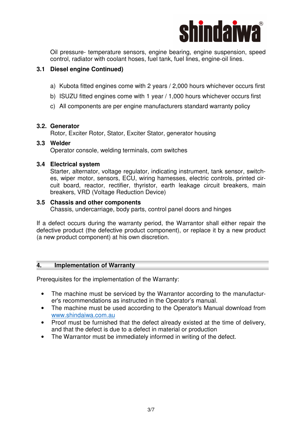

Oil pressure- temperature sensors, engine bearing, engine suspension, speed control, radiator with coolant hoses, fuel tank, fuel lines, engine-oil lines.

#### **3.1 Diesel engine Continued)**

- a) Kubota fitted engines come with 2 years / 2,000 hours whichever occurs first
- b) ISUZU fitted engines come with 1 year / 1,000 hours whichever occurs first
- c) All components are per engine manufacturers standard warranty policy

#### **3.2. Generator**

Rotor, Exciter Rotor, Stator, Exciter Stator, generator housing

#### **3.3 Welder**

Operator console, welding terminals, com switches

#### **3.4 Electrical system**

Starter, alternator, voltage regulator, indicating instrument, tank sensor, switches, wiper motor, sensors, ECU, wiring harnesses, electric controls, printed circuit board, reactor, rectifier, thyristor, earth leakage circuit breakers, main breakers, VRD (Voltage Reduction Device)

#### **3.5 Chassis and other components**

Chassis, undercarriage, body parts, control panel doors and hinges

If a defect occurs during the warranty period, the Warrantor shall either repair the defective product (the defective product component), or replace it by a new product (a new product component) at his own discretion.

#### **4. Implementation of Warranty**

Prerequisites for the implementation of the Warranty:

- The machine must be serviced by the Warrantor according to the manufacturer's recommendations as instructed in the Operator's manual.
- The machine must be used according to the Operator's Manual download from www.shindaiwa.com.au
- Proof must be furnished that the defect already existed at the time of delivery, and that the defect is due to a defect in material or production
- The Warrantor must be immediately informed in writing of the defect.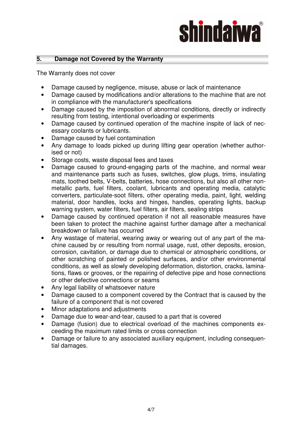# **shindaiwa**

#### **5. Damage not Covered by the Warranty**

The Warranty does not cover

- Damage caused by negligence, misuse, abuse or lack of maintenance
- Damage caused by modifications and/or alterations to the machine that are not in compliance with the manufacturer's specifications
- Damage caused by the imposition of abnormal conditions, directly or indirectly resulting from testing, intentional overloading or experiments
- Damage caused by continued operation of the machine inspite of lack of necessary coolants or lubricants.
- Damage caused by fuel contamination
- Any damage to loads picked up during lifting gear operation (whether authorised or not)
- Storage costs, waste disposal fees and taxes
- Damage caused to ground-engaging parts of the machine, and normal wear and maintenance parts such as fuses, switches, glow plugs, trims, insulating mats, toothed belts, V-belts, batteries, hose connections, but also all other nonmetallic parts, fuel filters, coolant, lubricants and operating media, catalytic converters, particulate-soot filters, other operating media, paint, light, welding material, door handles, locks and hinges, handles, operating lights, backup warning system, water filters, fuel filters, air filters, sealing strips
- Damage caused by continued operation if not all reasonable measures have been taken to protect the machine against further damage after a mechanical breakdown or failure has occurred
- Any wastage of material, wearing away or wearing out of any part of the machine caused by or resulting from normal usage, rust, other deposits, erosion, corrosion, cavitation, or damage due to chemical or atmospheric conditions, or other scratching of painted or polished surfaces, and/or other environmental conditions, as well as slowly developing deformation, distortion, cracks, laminations, flaws or grooves, or the repairing of defective pipe and hose connections or other defective connections or seams
- Any legal liability of whatsoever nature
- Damage caused to a component covered by the Contract that is caused by the failure of a component that is not covered
- Minor adaptations and adjustments
- Damage due to wear-and-tear, caused to a part that is covered
- Damage (fusion) due to electrical overload of the machines components exceeding the maximum rated limits or cross connection
- Damage or failure to any associated auxiliary equipment, including consequential damages.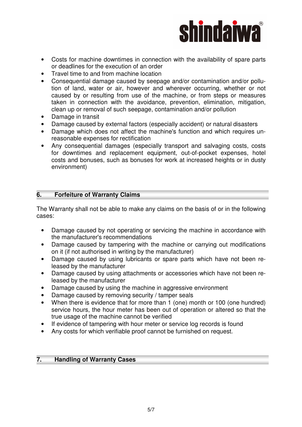

- Costs for machine downtimes in connection with the availability of spare parts or deadlines for the execution of an order
- Travel time to and from machine location
- Consequential damage caused by seepage and/or contamination and/or pollution of land, water or air, however and wherever occurring, whether or not caused by or resulting from use of the machine, or from steps or measures taken in connection with the avoidance, prevention, elimination, mitigation, clean up or removal of such seepage, contamination and/or pollution
- Damage in transit
- Damage caused by external factors (especially accident) or natural disasters
- Damage which does not affect the machine's function and which requires unreasonable expenses for rectification
- Any consequential damages (especially transport and salvaging costs, costs for downtimes and replacement equipment, out-of-pocket expenses, hotel costs and bonuses, such as bonuses for work at increased heights or in dusty environment)

#### **6. Forfeiture of Warranty Claims**

The Warranty shall not be able to make any claims on the basis of or in the following cases:

- Damage caused by not operating or servicing the machine in accordance with the manufacturer's recommendations
- Damage caused by tampering with the machine or carrying out modifications on it (if not authorised in writing by the manufacturer)
- Damage caused by using lubricants or spare parts which have not been released by the manufacturer
- Damage caused by using attachments or accessories which have not been released by the manufacturer
- Damage caused by using the machine in aggressive environment
- Damage caused by removing security / tamper seals
- When there is evidence that for more than 1 (one) month or 100 (one hundred) service hours, the hour meter has been out of operation or altered so that the true usage of the machine cannot be verified
- If evidence of tampering with hour meter or service log records is found
- Any costs for which verifiable proof cannot be furnished on request.

#### **7. Handling of Warranty Cases**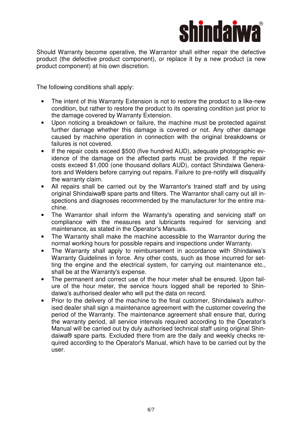

Should Warranty become operative, the Warrantor shall either repair the defective product (the defective product component), or replace it by a new product (a new product component) at his own discretion.

The following conditions shall apply:

- The intent of this Warranty Extension is not to restore the product to a like-new condition, but rather to restore the product to its operating condition just prior to the damage covered by Warranty Extension.
- Upon noticing a breakdown or failure, the machine must be protected against further damage whether this damage is covered or not. Any other damage caused by machine operation in connection with the original breakdowns or failures is not covered.
- If the repair costs exceed \$500 (five hundred AUD), adequate photographic evidence of the damage on the affected parts must be provided. If the repair costs exceed \$1,000 (one thousand dollars AUD), contact Shindaiwa Generators and Welders before carrying out repairs. Failure to pre-notify will disqualify the warranty claim.
- All repairs shall be carried out by the Warrantor's trained staff and by using original Shindaiwa® spare parts and filters. The Warrantor shall carry out all inspections and diagnoses recommended by the manufacturer for the entire machine.
- The Warrantor shall inform the Warranty's operating and servicing staff on compliance with the measures and lubricants required for servicing and maintenance, as stated in the Operator's Manuals.
- The Warranty shall make the machine accessible to the Warrantor during the normal working hours for possible repairs and inspections under Warranty.
- The Warranty shall apply to reimbursement in accordance with Shindaiwa's Warranty Guidelines in force. Any other costs, such as those incurred for setting the engine and the electrical system, for carrying out maintenance etc., shall be at the Warranty's expense.
- The permanent and correct use of the hour meter shall be ensured. Upon failure of the hour meter, the service hours logged shall be reported to Shindaiwa's authorised dealer who will put the data on record.
- Prior to the delivery of the machine to the final customer, Shindaiwa's authorised dealer shall sign a maintenance agreement with the customer covering the period of the Warranty. The maintenance agreement shall ensure that, during the warranty period, all service intervals required according to the Operator's Manual will be carried out by duly authorised technical staff using original Shindaiwa® spare parts. Excluded there from are the daily and weekly checks required according to the Operator's Manual, which have to be carried out by the user.